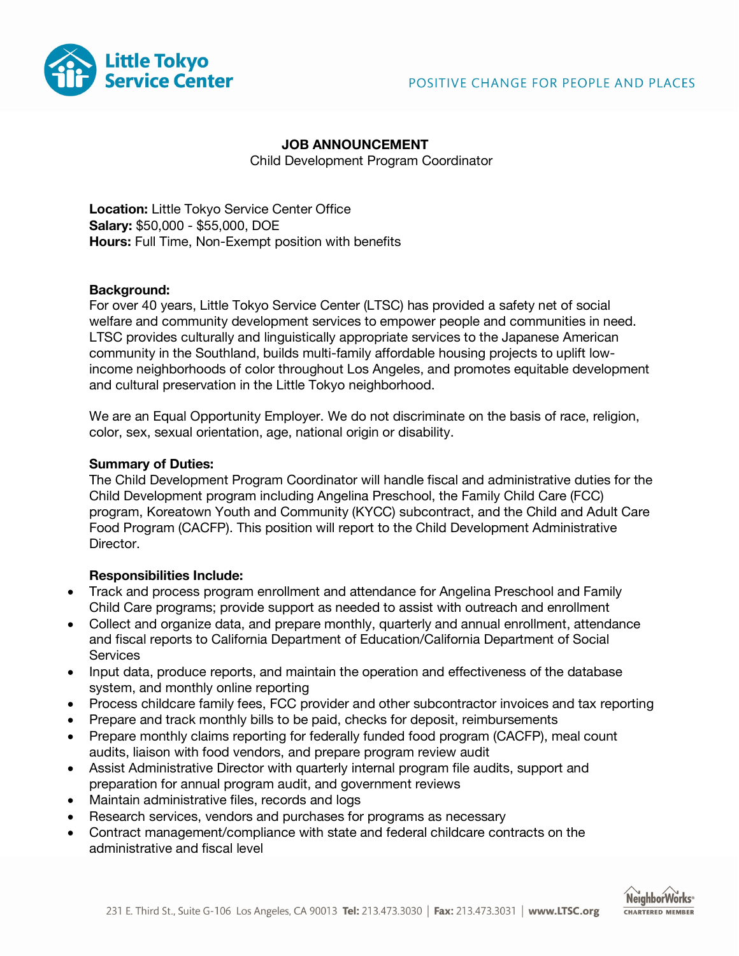

# **JOB ANNOUNCEMENT**

Child Development Program Coordinator

**Location:** Little Tokyo Service Center Office **Salary:** \$50,000 - \$55,000, DOE **Hours:** Full Time, Non-Exempt position with benefits

## **Background:**

For over 40 years, Little Tokyo Service Center (LTSC) has provided a safety net of social welfare and community development services to empower people and communities in need. LTSC provides culturally and linguistically appropriate services to the Japanese American community in the Southland, builds multi-family affordable housing projects to uplift lowincome neighborhoods of color throughout Los Angeles, and promotes equitable development and cultural preservation in the Little Tokyo neighborhood.

We are an Equal Opportunity Employer. We do not discriminate on the basis of race, religion, color, sex, sexual orientation, age, national origin or disability.

## **Summary of Duties:**

The Child Development Program Coordinator will handle fiscal and administrative duties for the Child Development program including Angelina Preschool, the Family Child Care (FCC) program, Koreatown Youth and Community (KYCC) subcontract, and the Child and Adult Care Food Program (CACFP). This position will report to the Child Development Administrative Director.

# **Responsibilities Include:**

- Track and process program enrollment and attendance for Angelina Preschool and Family Child Care programs; provide support as needed to assist with outreach and enrollment
- Collect and organize data, and prepare monthly, quarterly and annual enrollment, attendance and fiscal reports to California Department of Education/California Department of Social **Services**
- Input data, produce reports, and maintain the operation and effectiveness of the database system, and monthly online reporting
- Process childcare family fees, FCC provider and other subcontractor invoices and tax reporting
- Prepare and track monthly bills to be paid, checks for deposit, reimbursements
- Prepare monthly claims reporting for federally funded food program (CACFP), meal count audits, liaison with food vendors, and prepare program review audit
- Assist Administrative Director with quarterly internal program file audits, support and preparation for annual program audit, and government reviews
- Maintain administrative files, records and logs
- Research services, vendors and purchases for programs as necessary
- Contract management/compliance with state and federal childcare contracts on the administrative and fiscal level